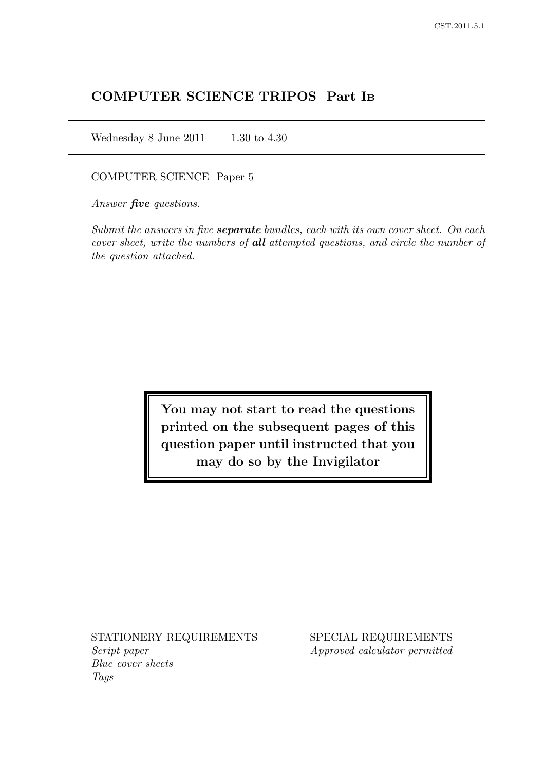# COMPUTER SCIENCE TRIPOS Part I<sup>B</sup>

Wednesday 8 June 2011  $1.30$  to 4.30

COMPUTER SCIENCE Paper 5

Answer **five** questions.

Submit the answers in five **separate** bundles, each with its own cover sheet. On each cover sheet, write the numbers of all attempted questions, and circle the number of the question attached.

> You may not start to read the questions printed on the subsequent pages of this question paper until instructed that you may do so by the Invigilator

Script paper Approved calculator permitted Blue cover sheets Tags

STATIONERY REQUIREMENTS SPECIAL REQUIREMENTS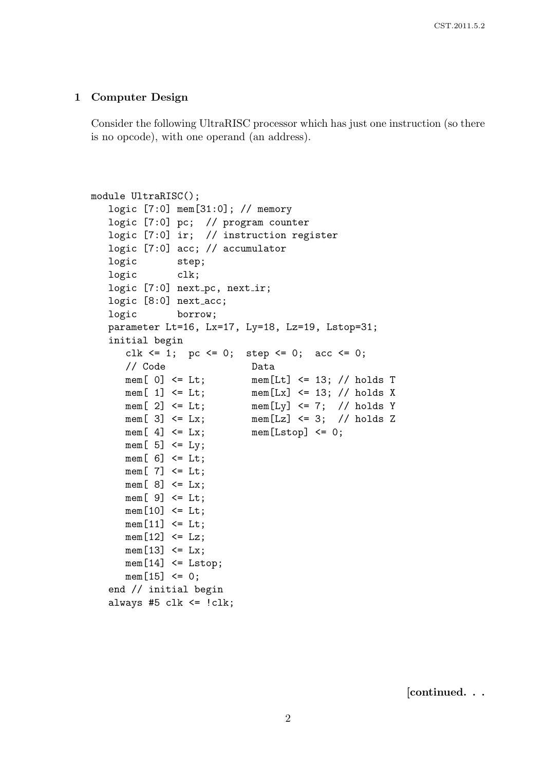#### 1 Computer Design

Consider the following UltraRISC processor which has just one instruction (so there is no opcode), with one operand (an address).

```
module UltraRISC();
   logic [7:0] mem[31:0]; // memory
  logic [7:0] pc; // program counter
  logic [7:0] ir; // instruction register
  logic [7:0] acc; // accumulator
  logic step;
  logic clk;
  logic [7:0] next_pc, next_ir;
  logic [8:0] next_acc;
  logic borrow;
  parameter Lt=16, Lx=17, Ly=18, Lz=19, Lstop=31;
   initial begin
     clk \leq 1; pc \leq 0; step \leq 0; acc \leq 0;
     // Code Data
     mem[ 0] <= Lt; mem[Lt] <= 13; // holds T
     mem[ 1] \le Lt; mem[Lx] \le 13; // holds X
     mem[ 2] \le Lt; mem[Ly] \le 7; // holds Y
     mem[ 3] \le Lx; mem[Lz] \le 3; // holds Z
     mem[4] \leq Lx; mem[Lstop] \leq 0;
     mem[5] <= Ly;
     mem[6] <= Lt;
     mem[7] \leq Lt;
     mem[8] \leq Lx;
     mem[9] \leq Lt;
     mem[10] \leq L;
     mem[11] \leq L;
     mem[12] \leq Lz;
     mem[13] \leq Lx;
     mem[14] \leq Listop;mem[15] < = 0;end // initial begin
   always #5 clk \le !clk;
```
[continued. . .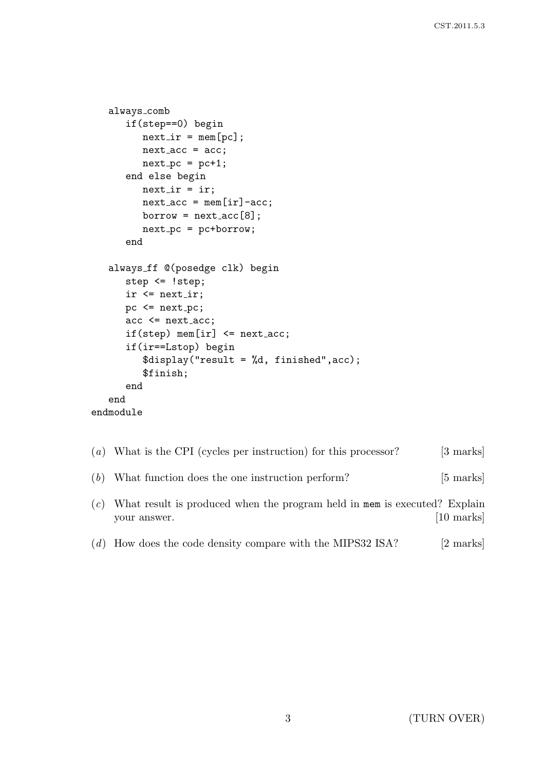```
always comb
      if(step==0) begin
         next\_ir = mem[pc];
         next\_acc = acc;next\_pc = pc+1;end else begin
         next_ir = ir;next\_acc = mem[ir] - acc;borrow = next\_acc[8];next\_pc = pc+borrow;end
   always ff @(posedge clk) begin
      step <= !step;
      ir \leq next_ir;pc \leq next_pc;
      acc \leq next_{acc};if(\text{step}) \text{mem} [ir] \leq next\_acc;if(ir==Lstop) begin
          $display("result = %d, finished",acc);
          $finish;
      end
   end
endmodule
```
- (a) What is the CPI (cycles per instruction) for this processor? [3 marks]
- (b) What function does the one instruction perform? [5 marks]
- (c) What result is produced when the program held in mem is executed? Explain your answer. [10 marks]
- (d) How does the code density compare with the MIPS32 ISA? [2 marks]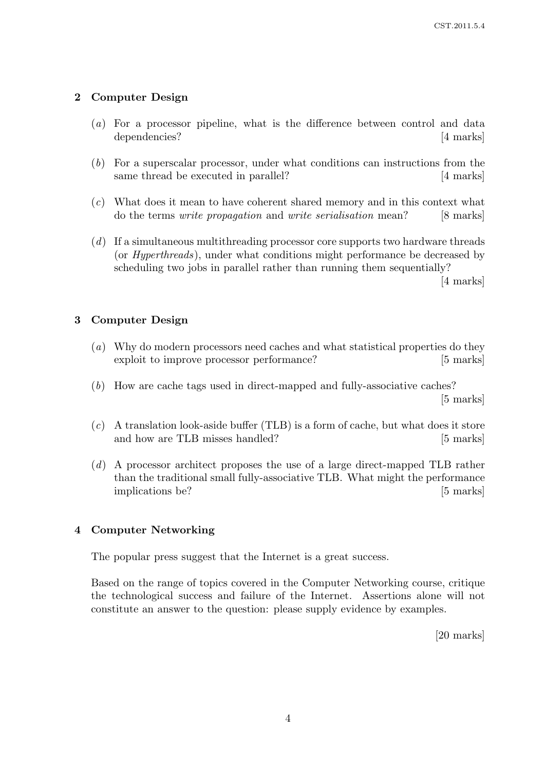## 2 Computer Design

- (a) For a processor pipeline, what is the difference between control and data dependencies? [4 marks]
- (b) For a superscalar processor, under what conditions can instructions from the same thread be executed in parallel? [4 marks]
- (c) What does it mean to have coherent shared memory and in this context what do the terms *write propagation* and *write serialisation* mean? [8 marks]
- (d) If a simultaneous multithreading processor core supports two hardware threads (or Hyperthreads), under what conditions might performance be decreased by scheduling two jobs in parallel rather than running them sequentially?

[4 marks]

### 3 Computer Design

- (a) Why do modern processors need caches and what statistical properties do they exploit to improve processor performance? [5 marks]
- (b) How are cache tags used in direct-mapped and fully-associative caches? [5 marks]
- $(c)$  A translation look-aside buffer (TLB) is a form of cache, but what does it store and how are TLB misses handled? [5 marks]
- (d) A processor architect proposes the use of a large direct-mapped TLB rather than the traditional small fully-associative TLB. What might the performance implications be? [5 marks]

### 4 Computer Networking

The popular press suggest that the Internet is a great success.

Based on the range of topics covered in the Computer Networking course, critique the technological success and failure of the Internet. Assertions alone will not constitute an answer to the question: please supply evidence by examples.

[20 marks]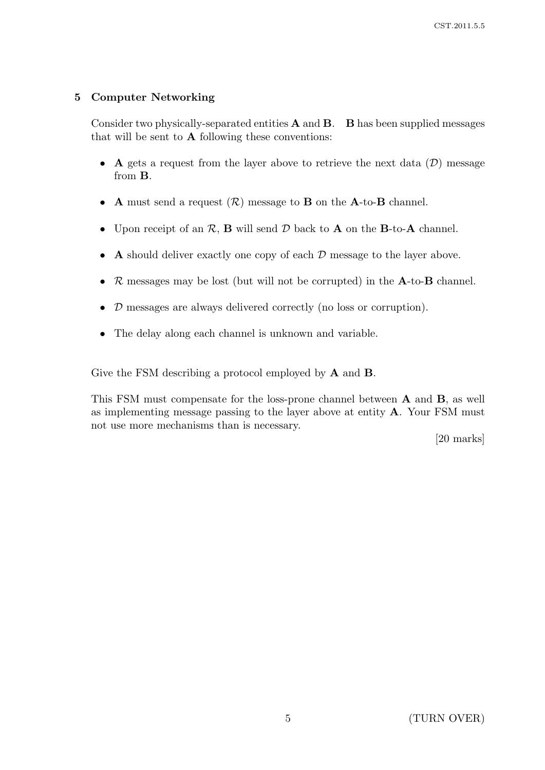## 5 Computer Networking

Consider two physically-separated entities  $A$  and  $B$ .  $B$  has been supplied messages that will be sent to  $A$  following these conventions:

- A gets a request from the layer above to retrieve the next data  $(D)$  message from B.
- A must send a request  $(\mathcal{R})$  message to **B** on the **A**-to-**B** channel.
- Upon receipt of an  $\mathcal{R}$ , **B** will send  $\mathcal{D}$  back to **A** on the **B**-to-**A** channel.
- A should deliver exactly one copy of each  $D$  message to the layer above.
- $R$  messages may be lost (but will not be corrupted) in the  $A$ -to- $B$  channel.
- D messages are always delivered correctly (no loss or corruption).
- The delay along each channel is unknown and variable.

Give the FSM describing a protocol employed by A and B.

This FSM must compensate for the loss-prone channel between A and B, as well as implementing message passing to the layer above at entity A. Your FSM must not use more mechanisms than is necessary.

[20 marks]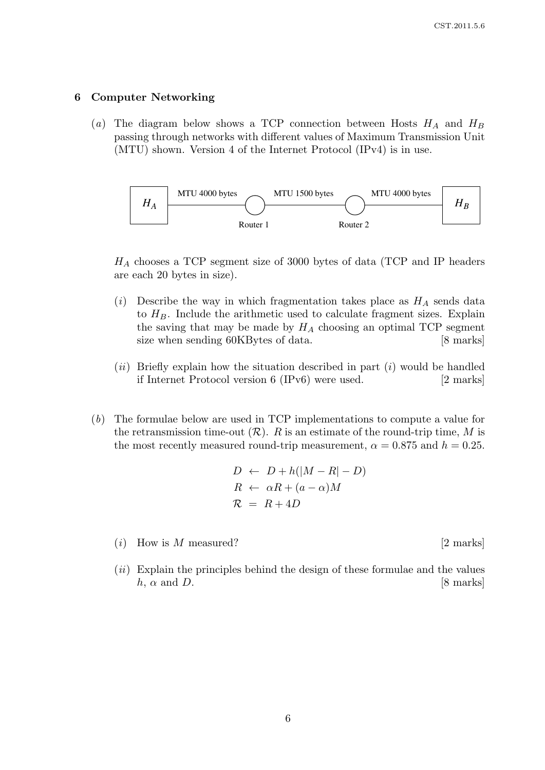#### 6 Computer Networking

(a) The diagram below shows a TCP connection between Hosts  $H_A$  and  $H_B$ passing through networks with different values of Maximum Transmission Unit (MTU) shown. Version 4 of the Internet Protocol (IPv4) is in use.



 $H_A$  chooses a TCP segment size of 3000 bytes of data (TCP and IP headers are each 20 bytes in size).

- (i) Describe the way in which fragmentation takes place as  $H_A$  sends data to  $H_B$ . Include the arithmetic used to calculate fragment sizes. Explain the saving that may be made by  $H_A$  choosing an optimal TCP segment size when sending 60KBytes of data. [8 marks]
- $(ii)$  Briefly explain how the situation described in part  $(i)$  would be handled if Internet Protocol version 6 (IPv6) were used. [2 marks]
- (b) The formulae below are used in TCP implementations to compute a value for the retransmission time-out  $(R)$ . R is an estimate of the round-trip time, M is the most recently measured round-trip measurement,  $\alpha = 0.875$  and  $h = 0.25$ .

$$
D \leftarrow D + h(|M - R| - D)
$$
  

$$
R \leftarrow \alpha R + (a - \alpha)M
$$
  

$$
\mathcal{R} = R + 4D
$$

- $(i)$  How is M measured? [2 marks]
- $(ii)$  Explain the principles behind the design of these formulae and the values  $h, \alpha$  and D. [8 marks]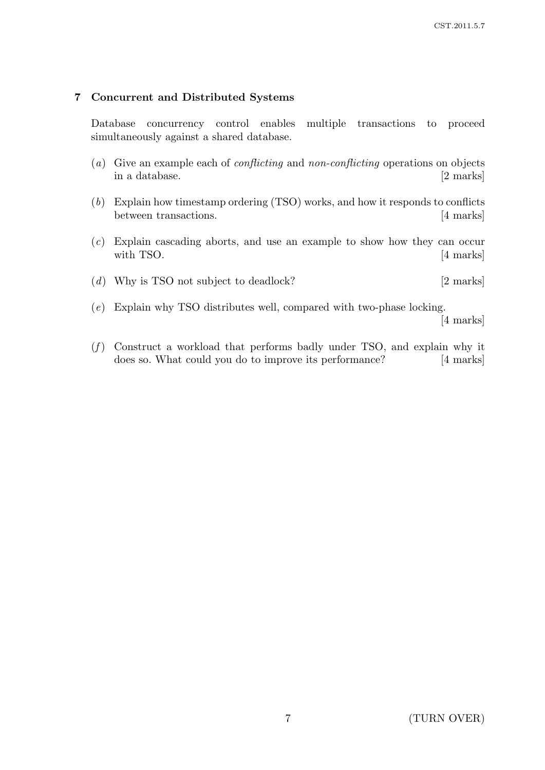## 7 Concurrent and Distributed Systems

Database concurrency control enables multiple transactions to proceed simultaneously against a shared database.

- (a) Give an example each of conflicting and non-conflicting operations on objects in a database. [2 marks]
- (b) Explain how timestamp ordering (TSO) works, and how it responds to conflicts between transactions. [4 marks]
- (c) Explain cascading aborts, and use an example to show how they can occur with TSO. [4 marks]
- (d) Why is TSO not subject to deadlock? [2 marks]
- (e) Explain why TSO distributes well, compared with two-phase locking.

[4 marks]

 $(f)$  Construct a workload that performs badly under TSO, and explain why it does so. What could you do to improve its performance? [4 marks]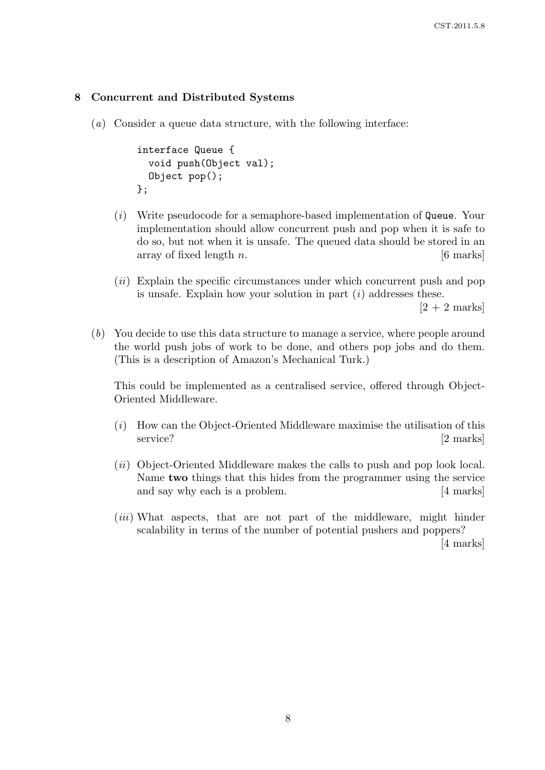#### 8 Concurrent and Distributed Systems

(a) Consider a queue data structure, with the following interface:

```
interface Queue {
  void push(Object val);
  Object pop();
};
```
- (i) Write pseudocode for a semaphore-based implementation of Queue. Your implementation should allow concurrent push and pop when it is safe to do so, but not when it is unsafe. The queued data should be stored in an array of fixed length  $n$ . [6 marks]
- (*ii*) Explain the specific circumstances under which concurrent push and pop is unsafe. Explain how your solution in part  $(i)$  addresses these.

 $[2 + 2$  marks

(b) You decide to use this data structure to manage a service, where people around the world push jobs of work to be done, and others pop jobs and do them. (This is a description of Amazon's Mechanical Turk.)

This could be implemented as a centralised service, offered through Object-Oriented Middleware.

- $(i)$  How can the Object-Oriented Middleware maximise the utilisation of this service? [2 marks]
- (ii) Object-Oriented Middleware makes the calls to push and pop look local. Name two things that this hides from the programmer using the service and say why each is a problem. [4 marks]
- (*iii*) What aspects, that are not part of the middleware, might hinder scalability in terms of the number of potential pushers and poppers?

[4 marks]